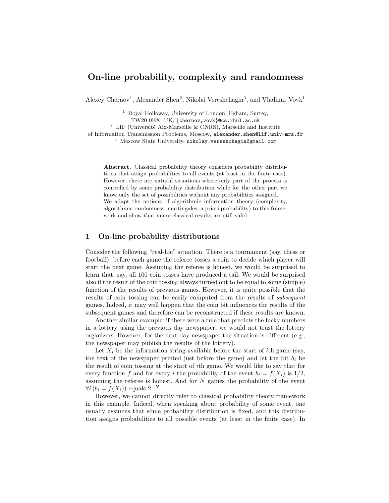# On-line probability, complexity and randomness

Alexey Chernov<sup>1</sup>, Alexander Shen<sup>2</sup>, Nikolai Vereshchagin<sup>3</sup>, and Vladimir Vovk<sup>1</sup>

<sup>1</sup> Royal Holloway, University of London, Egham, Surrey,

TW20 0EX, UK, {chernov,vovk}@cs.rhul.ac.uk

 $^2\,$  LIF (Université Aix-Marseille & CNRS), Marseille and Institute

of Information Transmission Problems, Moscow, alexander.shen@lif.univ-mrs.fr <sup>3</sup> Moscow State University, nikolay.vereshchagin@gmail.com

Abstract. Classical probability theory considers probability distributions that assign probabilities to all events (at least in the finite case). However, there are natural situations where only part of the process is controlled by some probability distribution while for the other part we know only the set of possibilities without any probabilities assigned. We adapt the notions of algorithmic information theory (complexity, algorithmic randomness, martingales, a priori probability) to this framework and show that many classical results are still valid.

### 1 On-line probability distributions

Consider the following "real-life" situation. There is a tournament (say, chess or football); before each game the referee tosses a coin to decide which player will start the next game. Assuming the referee is honest, we would be surprised to learn that, say, all 100 coin tosses have produced a tail. We would be surprised also if the result of the coin tossing always turned out to be equal to some (simple) function of the results of previous games. However, it is quite possible that the results of coin tossing can be easily computed from the results of subsequent games. Indeed, it may well happen that the coin bit influences the results of the subsequent games and therefore can be reconstructed if these results are known.

Another similar example: if there were a rule that predicts the lucky numbers in a lottery using the previous day newspaper, we would not trust the lottery organizers. However, for the next day newspaper the situation is different (e.g., the newspaper may publish the results of the lottery).

Let  $X_i$  be the information string available before the start of *i*th game (say, the text of the newspaper printed just before the game) and let the bit  $b_i$  be the result of coin tossing at the start of ith game. We would like to say that for every function f and for every i the probability of the event  $b_i = f(X_i)$  is  $1/2$ , assuming the referee is honest. And for  $N$  games the probability of the event  $\forall i (b_i = f(X_i))$  equals  $2^{-N}$ .

However, we cannot directly refer to classical probability theory framework in this example. Indeed, when speaking about probability of some event, one usually assumes that some probability distribution is fixed, and this distribution assigns probabilities to all possible events (at least in the finite case). In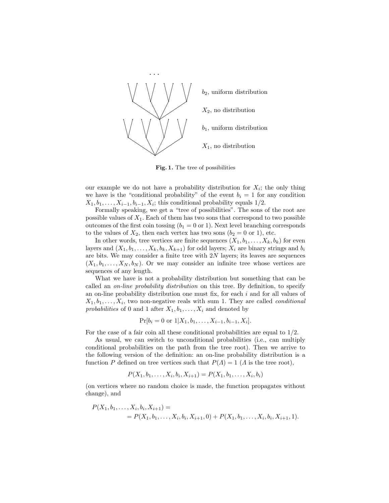

Fig. 1. The tree of possibilities

our example we do not have a probability distribution for  $X_i$ ; the only thing we have is the "conditional probability" of the event  $b_i = 1$  for any condition  $X_1, b_1, \ldots, X_{i-1}, b_{i-1}, X_i$ ; this conditional probability equals  $1/2$ .

Formally speaking, we get a "tree of possibilities". The sons of the root are possible values of  $X_1$ . Each of them has two sons that correspond to two possible outcomes of the first coin tossing  $(b_1 = 0 \text{ or } 1)$ . Next level branching corresponds to the values of  $X_2$ , then each vertex has two sons  $(b_2 = 0 \text{ or } 1)$ , etc.

In other words, tree vertices are finite sequences  $(X_1, b_1, \ldots, X_k, b_k)$  for even layers and  $(X_1, b_1, \ldots, X_k, b_k, X_{k+1})$  for odd layers;  $X_i$  are binary strings and  $b_i$ are bits. We may consider a finite tree with  $2N$  layers; its leaves are sequences  $(X_1, b_1, \ldots, X_N, b_N)$ . Or we may consider an infinite tree whose vertices are sequences of any length.

What we have is not a probability distribution but something that can be called an on-line probability distribution on this tree. By definition, to specify an on-line probability distribution one must fix, for each i and for all values of  $X_1, b_1, \ldots, X_i$ , two non-negative reals with sum 1. They are called *conditional* probabilities of 0 and 1 after  $X_1, b_1, \ldots, X_i$  and denoted by

$$
Pr[b_i = 0 \text{ or } 1 | X_1, b_1, \dots, X_{i-1}, b_{i-1}, X_i].
$$

For the case of a fair coin all these conditional probabilities are equal to  $1/2$ .

As usual, we can switch to unconditional probabilities (i.e., can multiply conditional probabilities on the path from the tree root). Then we arrive to the following version of the definition: an on-line probability distribution is a function P defined on tree vertices such that  $P(A) = 1$  ( $\Lambda$  is the tree root),

$$
P(X_1, b_1, \ldots, X_i, b_i, X_{i+1}) = P(X_1, b_1, \ldots, X_i, b_i)
$$

(on vertices where no random choice is made, the function propagates without change), and

$$
P(X_1, b_1, \ldots, X_i, b_i, X_{i+1}) =
$$
  
=  $P(X_1, b_1, \ldots, X_i, b_i, X_{i+1}, 0) + P(X_1, b_1, \ldots, X_i, b_i, X_{i+1}, 1).$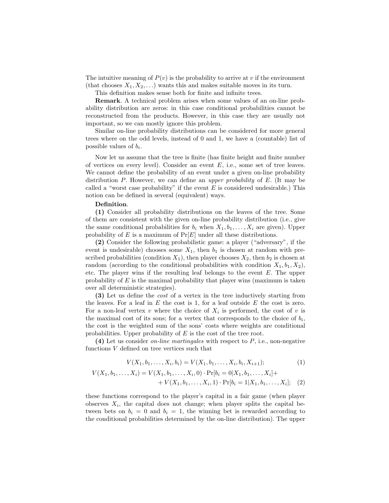The intuitive meaning of  $P(v)$  is the probability to arrive at v if the environment (that chooses  $X_1, X_2, \ldots$ ) wants this and makes suitable moves in its turn.

This definition makes sense both for finite and infinite trees.

Remark. A technical problem arises when some values of an on-line probability distribution are zeros: in this case conditional probabilities cannot be reconstructed from the products. However, in this case they are usually not important, so we can mostly ignore this problem.

Similar on-line probability distributions can be considered for more general trees where on the odd levels, instead of 0 and 1, we have a (countable) list of possible values of  $b_i$ .

Now let us assume that the tree is finite (has finite height and finite number of vertices on every level). Consider an event  $E$ , i.e., some set of tree leaves. We cannot define the probability of an event under a given on-line probability distribution  $P$ . However, we can define an *upper probability* of  $E$ . (It may be called a "worst case probability" if the event  $E$  is considered undesirable.) This notion can be defined in several (equivalent) ways.

#### Definition.

(1) Consider all probability distributions on the leaves of the tree. Some of them are consistent with the given on-line probability distribution (i.e., give the same conditional probabilities for  $b_i$  when  $X_1, b_1, \ldots, X_i$  are given). Upper probability of  $E$  is a maximum of  $Pr[E]$  under all these distributions.

(2) Consider the following probabilistic game: a player ("adversary", if the event is undesirable) chooses some  $X_1$ , then  $b_1$  is chosen at random with prescribed probabilities (condition  $X_1$ ), then player chooses  $X_2$ , then  $b_2$  is chosen at random (according to the conditional probabilities with condition  $X_1, b_1, X_2$ ), etc. The player wins if the resulting leaf belongs to the event  $E$ . The upper probability of  $E$  is the maximal probability that player wins (maximum is taken over all deterministic strategies).

(3) Let us define the cost of a vertex in the tree inductively starting from the leaves. For a leaf in  $E$  the cost is 1, for a leaf outside  $E$  the cost is zero. For a non-leaf vertex  $v$  where the choice of  $X_i$  is performed, the cost of  $v$  is the maximal cost of its sons; for a vertex that corresponds to the choice of  $b_i$ , the cost is the weighted sum of the sons' costs where weights are conditional probabilities. Upper probability of  $E$  is the cost of the tree root.

(4) Let us consider *on-line martingales* with respect to  $P$ , i.e., non-negative functions V defined on tree vertices such that

$$
V(X_1, b_1, \dots, X_i, b_i) = V(X_1, b_1, \dots, X_i, b_i, X_{i+1});
$$
\n
$$
V(X_1, b_1, \dots, X_i) = V(X_1, b_1, \dots, X_i, 0) \cdot \Pr[b_i = 0 | X_1, b_1, \dots, X_i] + V(X_1, b_1, \dots, X_i, 1) \cdot \Pr[b_i = 1 | X_1, b_1, \dots, X_i];
$$
\n
$$
(2)
$$

these functions correspond to the player's capital in a fair game (when player observes  $X_i$ , the capital does not change; when player splits the capital between bets on  $b_i = 0$  and  $b_i = 1$ , the winning bet is rewarded according to the conditional probabilities determined by the on-line distribution). The upper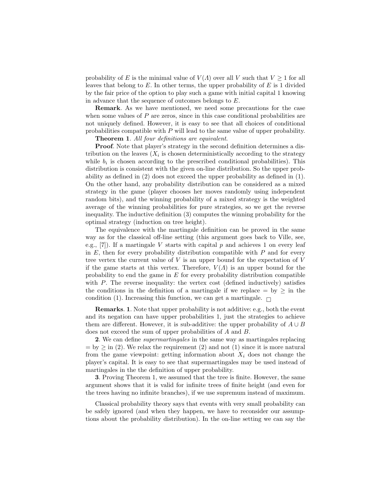probability of E is the minimal value of  $V(\Lambda)$  over all V such that  $V \geq 1$  for all leaves that belong to  $E$ . In other terms, the upper probability of  $E$  is 1 divided by the fair price of the option to play such a game with initial capital 1 knowing in advance that the sequence of outcomes belongs to E.

Remark. As we have mentioned, we need some precautions for the case when some values of  $P$  are zeros, since in this case conditional probabilities are not uniquely defined. However, it is easy to see that all choices of conditional probabilities compatible with P will lead to the same value of upper probability.

Theorem 1. All four definitions are equivalent.

Proof. Note that player's strategy in the second definition determines a distribution on the leaves  $(X_i)$  is chosen deterministically according to the strategy while  $b_i$  is chosen according to the prescribed conditional probabilities). This distribution is consistent with the given on-line distribution. So the upper probability as defined in (2) does not exceed the upper probability as defined in (1). On the other hand, any probability distribution can be considered as a mixed strategy in the game (player chooses her moves randomly using independent random bits), and the winning probability of a mixed strategy is the weighted average of the winning probabilities for pure strategies, so we get the reverse inequality. The inductive definition (3) computes the winning probability for the optimal strategy (induction on tree height).

The equivalence with the martingale definition can be proved in the same way as for the classical off-line setting (this argument goes back to Ville, see, e.g., [7]). If a martingale V starts with capital  $p$  and achieves 1 on every leaf in  $E$ , then for every probability distribution compatible with  $P$  and for every tree vertex the current value of  $V$  is an upper bound for the expectation of  $V$ if the game starts at this vertex. Therefore,  $V(\Lambda)$  is an upper bound for the probability to end the game in  $E$  for every probability distribution compatible with P. The reverse inequality: the vertex cost (defined inductively) satisfies the conditions in the definition of a martingale if we replace  $=$  by  $\geq$  in the condition (1). Increasing this function, we can get a martingale.  $\Box$ 

Remarks. 1. Note that upper probability is not additive: e.g., both the event and its negation can have upper probabilities 1, just the strategies to achieve them are different. However, it is sub-additive: the upper probability of  $A \cup B$ does not exceed the sum of upper probabilities of A and B.

2. We can define supermartingales in the same way as martingales replacing  $=$  by  $>$  in (2). We relax the requirement (2) and not (1) since it is more natural from the game viewpoint: getting information about  $X_i$  does not change the player's capital. It is easy to see that supermartingales may be used instead of martingales in the the definition of upper probability.

3. Proving Theorem 1, we assumed that the tree is finite. However, the same argument shows that it is valid for infinite trees of finite height (and even for the trees having no infinite branches), if we use supremum instead of maximum.

Classical probability theory says that events with very small probability can be safely ignored (and when they happen, we have to reconsider our assumptions about the probability distribution). In the on-line setting we can say the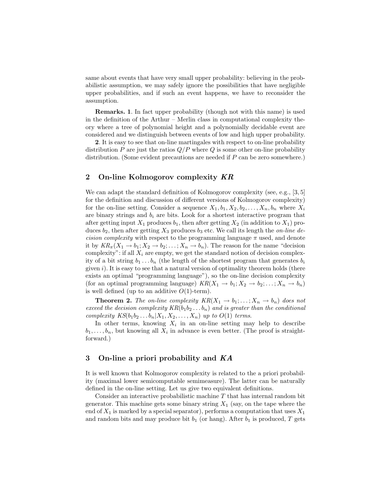same about events that have very small upper probability: believing in the probabilistic assumption, we may safely ignore the possibilities that have negligible upper probabilities, and if such an event happens, we have to reconsider the assumption.

Remarks. 1. In fact upper probability (though not with this name) is used in the definition of the Arthur – Merlin class in computational complexity theory where a tree of polynomial height and a polynomially decidable event are considered and we distinguish between events of low and high upper probability.

2. It is easy to see that on-line martingales with respect to on-line probability distribution P are just the ratios  $Q/P$  where Q is some other on-line probability distribution. (Some evident precautions are needed if P can be zero somewhere.)

# 2 On-line Kolmogorov complexity KR

We can adapt the standard definition of Kolmogorov complexity (see, e.g., [3,5] for the definition and discussion of different versions of Kolmogorov complexity) for the on-line setting. Consider a sequence  $X_1, b_1, X_2, b_2, \ldots, X_n, b_n$  where  $X_i$ are binary strings and  $b_i$  are bits. Look for a shortest interactive program that after getting input  $X_1$  produces  $b_1$ , then after getting  $X_2$  (in addition to  $X_1$ ) produces  $b_2$ , then after getting  $X_3$  produces  $b_3$  etc. We call its length the *on-line decision complexity* with respect to the programming language  $\pi$  used, and denote it by  $KR_{\pi}(X_1 \rightarrow b_1; X_2 \rightarrow b_2; \ldots; X_n \rightarrow b_n)$ . The reason for the name "decision" complexity": if all  $X_i$  are empty, we get the standard notion of decision complexity of a bit string  $b_1 \ldots b_n$  (the length of the shortest program that generates  $b_i$ given  $i$ ). It is easy to see that a natural version of optimality theorem holds (there exists an optimal "programming language"), so the on-line decision complexity (for an optimal programming language)  $KR(X_1 \rightarrow b_1; X_2 \rightarrow b_2; \ldots; X_n \rightarrow b_n)$ is well defined (up to an additive  $O(1)$ -term).

**Theorem 2.** The on-line complexity  $KR(X_1 \rightarrow b_1; \ldots; X_n \rightarrow b_n)$  does not exceed the decision complexity  $KR(b_1b_2...b_n)$  and is greater than the conditional complexity  $KS(b_1b_2...b_n|X_1, X_2,..., X_n)$  up to  $O(1)$  terms.

In other terms, knowing  $X_i$  in an on-line setting may help to describe  $b_1, \ldots, b_n$ , but knowing all  $X_i$  in advance is even better. (The proof is straightforward.)

# 3 On-line a priori probability and KA

It is well known that Kolmogorov complexity is related to the a priori probability (maximal lower semicomputable semimeasure). The latter can be naturally defined in the on-line setting. Let us give two equivalent definitions.

Consider an interactive probabilistic machine  $T$  that has internal random bit generator. This machine gets some binary string  $X_1$  (say, on the tape where the end of  $X_1$  is marked by a special separator), performs a computation that uses  $X_1$ and random bits and may produce bit  $b_1$  (or hang). After  $b_1$  is produced, T gets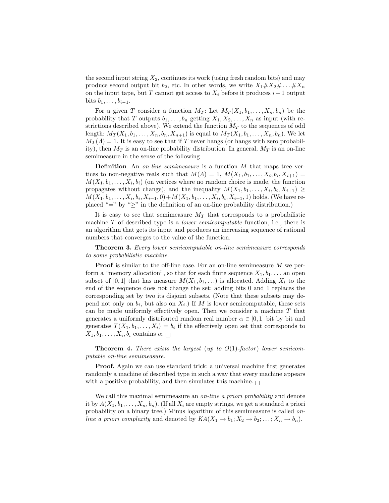the second input string  $X_2$ , continues its work (using fresh random bits) and may produce second output bit  $b_2$ , etc. In other words, we write  $X_1 \# X_2 \# \dots \# X_n$ on the input tape, but T cannot get access to  $X_i$  before it produces  $i-1$  output bits  $b_1, \ldots, b_{i-1}$ .

For a given T consider a function  $M_T$ : Let  $M_T(X_1, b_1, \ldots, X_n, b_n)$  be the probability that T outputs  $b_1, \ldots, b_n$  getting  $X_1, X_2, \ldots, X_n$  as input (with restrictions described above). We extend the function  $M_T$  to the sequences of odd length:  $M_T(X_1, b_1, \ldots, X_n, b_n, X_{n+1})$  is equal to  $M_T(X_1, b_1, \ldots, X_n, b_n)$ . We let  $M_T(\Lambda) = 1$ . It is easy to see that if T never hangs (or hangs with zero probability), then  $M_T$  is an on-line probability distribution. In general,  $M_T$  is an on-line semimeasure in the sense of the following

**Definition.** An *on-line semimeasure* is a function  $M$  that maps tree vertices to non-negative reals such that  $M(\Lambda) = 1, M(X_1, b_1, \ldots, X_i, b_i, X_{i+1}) =$  $M(X_1, b_1, \ldots, X_i, b_i)$  (on vertices where no random choice is made, the function propagates without change), and the inequality  $M(X_1, b_1, \ldots, X_i, b_i, X_{i+1}) \geq$  $M(X_1, b_1, \ldots, X_i, b_i, X_{i+1}, 0) + M(X_1, b_1, \ldots, X_i, b_i, X_{i+1}, 1)$  holds. (We have replaced "=" by " $\geq$ " in the definition of an on-line probability distribution.)

It is easy to see that semimeasure  $M_T$  that corresponds to a probabilistic machine T of described type is a *lower semicomputable* function, i.e., there is an algorithm that gets its input and produces an increasing sequence of rational numbers that converges to the value of the function.

Theorem 3. Every lower semicomputable on-line semimeasure corresponds to some probabilistic machine.

**Proof** is similar to the off-line case. For an on-line semimeasure  $M$  we perform a "memory allocation", so that for each finite sequence  $X_1, b_1, \ldots$  an open subset of [0, 1] that has measure  $M(X_1, b_1, \ldots)$  is allocated. Adding  $X_i$  to the end of the sequence does not change the set; adding bits 0 and 1 replaces the corresponding set by two its disjoint subsets. (Note that these subsets may depend not only on  $b_i$ , but also on  $X_i$ .) If M is lower semicomputable, these sets can be made uniformly effectively open. Then we consider a machine  $T$  that generates a uniformly distributed random real number  $\alpha \in [0, 1]$  bit by bit and generates  $T(X_1, b_1, \ldots, X_i) = b_i$  if the effectively open set that corresponds to  $X_1, b_1, \ldots, X_i, b_i$  contains  $\alpha$ .

**Theorem 4.** There exists the largest (up to  $O(1)$ -factor) lower semicomputable on-line semimeasure.

Proof. Again we can use standard trick: a universal machine first generates randomly a machine of described type in such a way that every machine appears with a positive probability, and then simulates this machine.  $\Box$ 

We call this maximal semimeasure an *on-line a priori probability* and denote it by  $A(X_1, b_1, \ldots, X_n, b_n)$ . (If all  $X_i$  are empty strings, we get a standard a priori probability on a binary tree.) Minus logarithm of this semimeasure is called online a priori complexity and denoted by  $KA(X_1 \rightarrow b_1; X_2 \rightarrow b_2; \dots; X_n \rightarrow b_n)$ .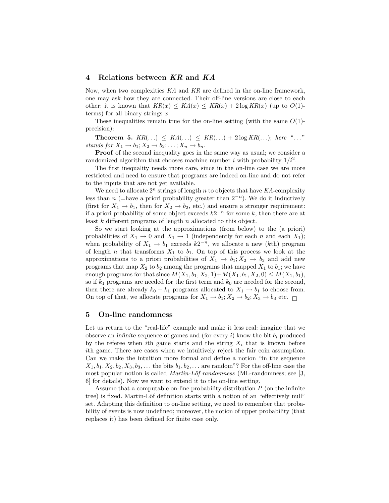### 4 Relations between KR and KA

Now, when two complexities KA and KR are defined in the on-line framework, one may ask how they are connected. Their off-line versions are close to each other: it is known that  $KR(x) \leq KA(x) \leq KR(x) + 2 \log KR(x)$  (up to  $O(1)$ terms) for all binary strings  $x$ .

These inequalities remain true for the on-line setting (with the same  $O(1)$ precision):

Theorem 5.  $KR(\ldots) \leq KA(\ldots) \leq KR(\ldots) + 2 \log KR(\ldots);$  here " $\ldots$ " stands for  $X_1 \rightarrow b_1; X_2 \rightarrow b_2; \ldots; X_n \rightarrow b_n$ .

Proof of the second inequality goes in the same way as usual; we consider a randomized algorithm that chooses machine number i with probability  $1/i^2$ .

The first inequality needs more care, since in the on-line case we are more restricted and need to ensure that programs are indeed on-line and do not refer to the inputs that are not yet available.

We need to allocate  $2^n$  strings of length n to objects that have KA-complexity less than  $n$  (=have a priori probability greater than  $2^{-n}$ ). We do it inductively (first for  $X_1 \rightarrow b_1$ , then for  $X_2 \rightarrow b_2$ , etc.) and ensure a stronger requirement: if a priori probability of some object exceeds  $k2^{-n}$  for some k, then there are at least k different programs of length n allocated to this object.

So we start looking at the approximations (from below) to the (a priori) probabilities of  $X_1 \to 0$  and  $X_1 \to 1$  (independently for each n and each  $X_1$ ); when probability of  $X_1 \to b_1$  exceeds  $k2^{-n}$ , we allocate a new (kth) program of length n that transforms  $X_1$  to  $b_1$ . On top of this process we look at the approximations to a priori probabilities of  $X_1 \rightarrow b_1; X_2 \rightarrow b_2$  and add new programs that map  $X_2$  to  $b_2$  among the programs that mapped  $X_1$  to  $b_1$ ; we have enough programs for that since  $M(X_1, b_1, X_2, 1) + M(X_1, b_1, X_2, 0) \leq M(X_1, b_1)$ , so if  $k_1$  programs are needed for the first term and  $k_0$  are needed for the second, then there are already  $k_0 + k_1$  programs allocated to  $X_1 \rightarrow b_1$  to choose from. On top of that, we allocate programs for  $X_1 \to b_1; X_2 \to b_2; X_3 \to b_3$  etc.

### 5 On-line randomness

Let us return to the "real-life" example and make it less real: imagine that we observe an infinite sequence of games and (for every i) know the bit  $b_i$  produced by the referee when ith game starts and the string  $X_i$  that is known before ith game. There are cases when we intuitively reject the fair coin assumption. Can we make the intuition more formal and define a notion "in the sequence  $X_1, b_1, X_2, b_2, X_3, b_3, \ldots$  the bits  $b_1, b_2, \ldots$  are random"? For the off-line case the most popular notion is called *Martin-Löf randomness* (ML-randomness; see [3, 6] for details). Now we want to extend it to the on-line setting.

Assume that a computable on-line probability distribution  $P$  (on the infinite tree) is fixed. Martin-Löf definition starts with a notion of an "effectively null" set. Adapting this definition to on-line setting, we need to remember that probability of events is now undefined; moreover, the notion of upper probability (that replaces it) has been defined for finite case only.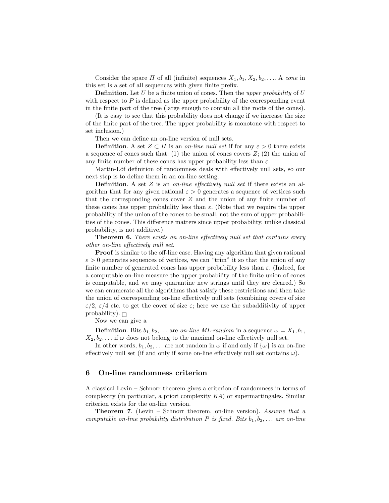Consider the space  $\Pi$  of all (infinite) sequences  $X_1, b_1, X_2, b_2, \ldots$  A cone in this set is a set of all sequences with given finite prefix.

**Definition.** Let U be a finite union of cones. Then the upper probability of U with respect to  $P$  is defined as the upper probability of the corresponding event in the finite part of the tree (large enough to contain all the roots of the cones).

(It is easy to see that this probability does not change if we increase the size of the finite part of the tree. The upper probability is monotone with respect to set inclusion.)

Then we can define an on-line version of null sets.

**Definition.** A set  $Z \subset \Pi$  is an on-line null set if for any  $\varepsilon > 0$  there exists a sequence of cones such that: (1) the union of cones covers  $Z$ ; (2) the union of any finite number of these cones has upper probability less than  $\varepsilon$ .

Martin-Löf definition of randomness deals with effectively null sets, so our next step is to define them in an on-line setting.

**Definition.** A set Z is an *on-line effectively null set* if there exists an algorithm that for any given rational  $\varepsilon > 0$  generates a sequence of vertices such that the corresponding cones cover Z and the union of any finite number of these cones has upper probability less than  $\varepsilon$ . (Note that we require the upper probability of the union of the cones to be small, not the sum of upper probabilities of the cones. This difference matters since upper probability, unlike classical probability, is not additive.)

**Theorem 6.** There exists an on-line effectively null set that contains every other on-line effectively null set.

Proof is similar to the off-line case. Having any algorithm that given rational  $\varepsilon > 0$  generates sequences of vertices, we can "trim" it so that the union of any finite number of generated cones has upper probability less than  $\varepsilon$ . (Indeed, for a computable on-line measure the upper probability of the finite union of cones is computable, and we may quarantine new strings until they are cleared.) So we can enumerate all the algorithms that satisfy these restrictions and then take the union of corresponding on-line effectively null sets (combining covers of size  $\varepsilon/2$ ,  $\varepsilon/4$  etc. to get the cover of size  $\varepsilon$ ; here we use the subadditivity of upper probability).  $\Box$ 

Now we can give a

**Definition**. Bits  $b_1, b_2, \ldots$  are *on-line ML-random* in a sequence  $\omega = X_1, b_1,$  $X_2, b_2, \ldots$  if  $\omega$  does not belong to the maximal on-line effectively null set.

In other words,  $b_1, b_2, \ldots$  are not random in  $\omega$  if and only if  $\{\omega\}$  is an on-line effectively null set (if and only if some on-line effectively null set contains  $\omega$ ).

### 6 On-line randomness criterion

A classical Levin – Schnorr theorem gives a criterion of randomness in terms of complexity (in particular, a priori complexity  $KA$ ) or supermartingales. Similar criterion exists for the on-line version.

Theorem 7. (Levin – Schnorr theorem, on-line version). Assume that a computable on-line probability distribution P is fixed. Bits  $b_1, b_2, \ldots$  are on-line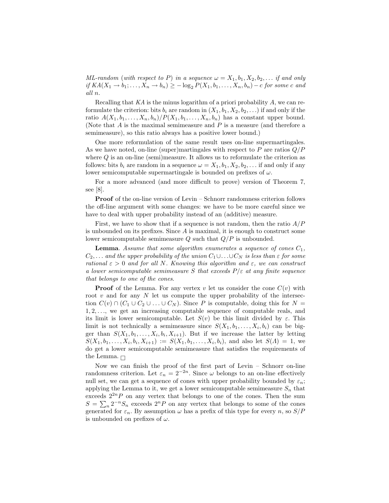ML-random (with respect to P) in a sequence  $\omega = X_1, b_1, X_2, b_2, \ldots$  if and only if  $KA(X_1 \rightarrow b_1; \ldots, X_n \rightarrow b_n) \geq -\log_2 P(X_1, b_1, \ldots, X_n, b_n) - c$  for some c and all n.

Recalling that  $KA$  is the minus logarithm of a priori probability  $A$ , we can reformulate the criterion: bits  $b_i$  are random in  $(X_1, b_1, X_2, b_2, \ldots)$  if and only if the ratio  $A(X_1, b_1, \ldots, X_n, b_n)/P(X_1, b_1, \ldots, X_n, b_n)$  has a constant upper bound. (Note that  $A$  is the maximal semimeasure and  $P$  is a measure (and therefore a semimeasure), so this ratio always has a positive lower bound.)

One more reformulation of the same result uses on-line supermartingales. As we have noted, on-line (super)martingales with respect to  $P$  are ratios  $Q/P$ where  $Q$  is an on-line (semi)measure. It allows us to reformulate the criterion as follows: bits  $b_i$  are random in a sequence  $\omega = X_1, b_1, X_2, b_2, \ldots$  if and only if any lower semicomputable supermartingale is bounded on prefixes of  $\omega$ .

For a more advanced (and more difficult to prove) version of Theorem 7, see [8].

Proof of the on-line version of Levin – Schnorr randomness criterion follows the off-line argument with some changes: we have to be more careful since we have to deal with upper probability instead of an (additive) measure.

First, we have to show that if a sequence is not random, then the ratio  $A/P$ is unbounded on its prefixes. Since  $A$  is maximal, it is enough to construct some lower semicomputable semimeasure  $Q$  such that  $Q/P$  is unbounded.

**Lemma.** Assume that some algorithm enumerates a sequence of cones  $C_1$ ,  $C_2, \ldots$  and the upper probability of the union  $C_1 \cup \ldots \cup C_N$  is less than  $\varepsilon$  for some rational  $\varepsilon > 0$  and for all N. Knowing this algorithm and  $\varepsilon$ , we can construct a lower semicomputable semimeasure S that exceeds  $P/\varepsilon$  at any finite sequence that belongs to one of the cones.

**Proof** of the Lemma. For any vertex v let us consider the cone  $C(v)$  with root  $v$  and for any  $N$  let us compute the upper probability of the intersection  $C(v) \cap (C_1 \cup C_2 \cup ... \cup C_N)$ . Since P is computable, doing this for  $N =$  $1, 2, \ldots$ , we get an increasing computable sequence of computable reals, and its limit is lower semicomputable. Let  $S(v)$  be this limit divided by  $\varepsilon$ . This limit is not technically a semimeasure since  $S(X_1, b_1, \ldots, X_i, b_i)$  can be bigger than  $S(X_1, b_1, \ldots, X_i, b_i, X_{i+1})$ . But if we increase the latter by letting  $S(X_1, b_1, \ldots, X_i, b_i, X_{i+1}) := S(X_1, b_1, \ldots, X_i, b_i)$ , and also let  $S(\Lambda) = 1$ , we do get a lower semicomputable semimeasure that satisfies the requirements of the Lemma.  $\Box$ 

Now we can finish the proof of the first part of Levin – Schnorr on-line randomness criterion. Let  $\varepsilon_n = 2^{-2n}$ . Since  $\omega$  belongs to an on-line effectively null set, we can get a sequence of cones with upper probability bounded by  $\varepsilon_n$ ; applying the Lemma to it, we get a lower semicomputable semimeasure  $S_n$  that exceeds  $2^{2n}P$  on any vertex that belongs to one of the cones. Then the sum  $S = \sum_{n} 2^{-n} S_n$  exceeds  $2^{n} P$  on any vertex that belongs to some of the cones generated for  $\varepsilon_n$ . By assumption  $\omega$  has a prefix of this type for every n, so  $S/P$ is unbounded on prefixes of  $\omega$ .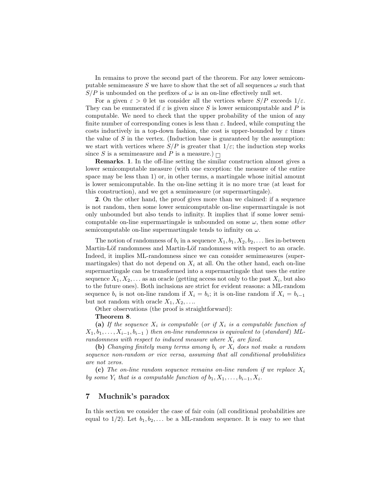In remains to prove the second part of the theorem. For any lower semicomputable semimeasure S we have to show that the set of all sequences  $\omega$  such that  $S/P$  is unbounded on the prefixes of  $\omega$  is an on-line effectively null set.

For a given  $\varepsilon > 0$  let us consider all the vertices where  $S/P$  exceeds  $1/\varepsilon$ . They can be enumerated if  $\varepsilon$  is given since S is lower semicomputable and P is computable. We need to check that the upper probability of the union of any finite number of corresponding cones is less than  $\varepsilon$ . Indeed, while computing the costs inductively in a top-down fashion, the cost is upper-bounded by  $\varepsilon$  times the value of  $S$  in the vertex. (Induction base is guaranteed by the assumption: we start with vertices where  $S/P$  is greater that  $1/\varepsilon$ ; the induction step works since S is a semimeasure and P is a measure.)  $\Box$ 

Remarks. 1. In the off-line setting the similar construction almost gives a lower semicomputable measure (with one exception: the measure of the entire space may be less than 1) or, in other terms, a martingale whose initial amount is lower semicomputable. In the on-line setting it is no more true (at least for this construction), and we get a semimeasure (or supermartingale).

2. On the other hand, the proof gives more than we claimed: if a sequence is not random, then some lower semicomputable on-line supermartingale is not only unbounded but also tends to infinity. It implies that if some lower semicomputable on-line supermartingale is unbounded on some  $\omega$ , then some *other* semicomputable on-line supermartingale tends to infinity on  $\omega$ .

The notion of randomness of  $b_i$  in a sequence  $X_1, b_1, X_2, b_2, \ldots$  lies in-between Martin-Löf randomness and Martin-Löf randomness with respect to an oracle. Indeed, it implies ML-randomness since we can consider semimeasures (supermartingales) that do not depend on  $X_i$  at all. On the other hand, each on-line supermartingale can be transformed into a supermartingale that uses the entire sequence  $X_1, X_2, \ldots$  as an oracle (getting access not only to the past  $X_i$ , but also to the future ones). Both inclusions are strict for evident reasons: a ML-random sequence  $b_i$  is not on-line random if  $X_i = b_i$ ; it is on-line random if  $X_i = b_{i-1}$ but not random with oracle  $X_1, X_2, \ldots$ 

Other observations (the proof is straightforward):

#### Theorem 8.

(a) If the sequence  $X_i$  is computable (or if  $X_i$  is a computable function of  $X_1, b_1, \ldots, X_{i-1}, b_{i-1}$ ) then on-line randomness is equivalent to (standard) MLrandomness with respect to induced measure where  $X_i$  are fixed.

(b) Changing finitely many terms among  $b_i$  or  $X_i$  does not make a random sequence non-random or vice versa, assuming that all conditional probabilities are not zeros.

(c) The on-line random sequence remains on-line random if we replace  $X_i$ by some  $Y_i$  that is a computable function of  $b_1, X_1, \ldots, b_{i-1}, X_i$ .

# 7 Muchnik's paradox

In this section we consider the case of fair coin (all conditional probabilities are equal to  $1/2$ ). Let  $b_1, b_2, \ldots$  be a ML-random sequence. It is easy to see that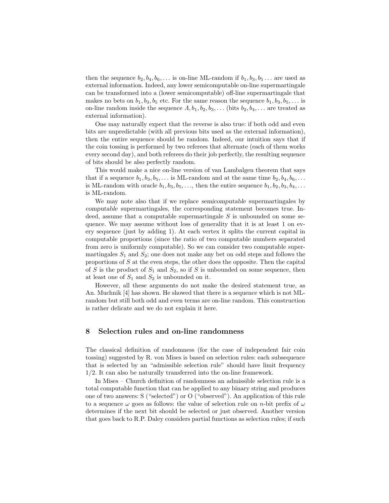then the sequence  $b_2, b_4, b_6, \ldots$  is on-line ML-random if  $b_1, b_3, b_5 \ldots$  are used as external information. Indeed, any lower semicomputable on-line supermartingale can be transformed into a (lower semicomputable) off-line supermartingale that makes no bets on  $b_1, b_3, b_5$  etc. For the same reason the sequence  $b_1, b_3, b_5, \ldots$  is on-line random inside the sequence  $\Lambda$ ,  $b_1$ ,  $b_2$ ,  $b_3$ , ... (bits  $b_2$ ,  $b_4$ , ... are treated as external information).

One may naturally expect that the reverse is also true: if both odd and even bits are unpredictable (with all previous bits used as the external information), then the entire sequence should be random. Indeed, our intuition says that if the coin tossing is performed by two referees that alternate (each of them works every second day), and both referees do their job perfectly, the resulting sequence of bits should be also perfectly random.

This would make a nice on-line version of van Lambalgen theorem that says that if a sequence  $b_1, b_3, b_5, \ldots$  is ML-random and at the same time  $b_2, b_4, b_6, \ldots$ is ML-random with oracle  $b_1, b_3, b_5, \ldots$ , then the entire sequence  $b_1, b_2, b_3, b_4, \ldots$ is ML-random.

We may note also that if we replace semicomputable supermartingales by computable supermartingales, the corresponding statement becomes true. Indeed, assume that a computable supermartingale  $S$  is unbounded on some sequence. We may assume without loss of generality that it is at least 1 on every sequence (just by adding 1). At each vertex it splits the current capital in computable proportions (since the ratio of two computable numbers separated from zero is uniformly computable). So we can consider two computable supermartingales  $S_1$  and  $S_2$ ; one does not make any bet on odd steps and follows the proportions of  $S$  at the even steps, the other does the opposite. Then the capital of S is the product of  $S_1$  and  $S_2$ , so if S is unbounded on some sequence, then at least one of  $S_1$  and  $S_2$  is unbounded on it.

However, all these arguments do not make the desired statement true, as An. Muchnik [4] has shown. He showed that there is a sequence which is not MLrandom but still both odd and even terms are on-line random. This construction is rather delicate and we do not explain it here.

### 8 Selection rules and on-line randomness

The classical definition of randomness (for the case of independent fair coin tossing) suggested by R. von Mises is based on selection rules: each subsequence that is selected by an "admissible selection rule" should have limit frequency 1/2. It can also be naturally transferred into the on-line framework.

In Mises – Church definition of randomness an admissible selection rule is a total computable function that can be applied to any binary string and produces one of two answers: S ("selected") or O ("observed"). An application of this rule to a sequence  $\omega$  goes as follows: the value of selection rule on n-bit prefix of  $\omega$ determines if the next bit should be selected or just observed. Another version that goes back to R.P. Daley considers partial functions as selection rules; if such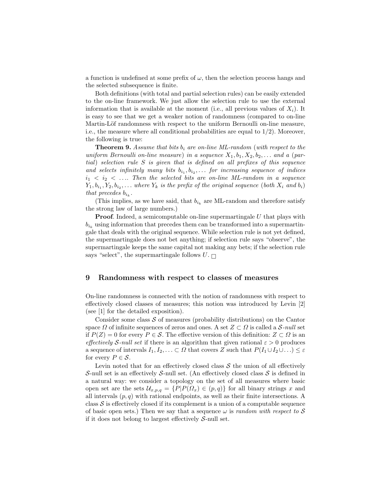a function is undefined at some prefix of  $\omega$ , then the selection process hangs and the selected subsequence is finite.

Both definitions (with total and partial selection rules) can be easily extended to the on-line framework. We just allow the selection rule to use the external information that is available at the moment (i.e., all previous values of  $X_i$ ). It is easy to see that we get a weaker notion of randomness (compared to on-line Martin-Löf randomness with respect to the uniform Bernoulli on-line measure, i.e., the measure where all conditional probabilities are equal to  $1/2$ ). Moreover, the following is true:

**Theorem 9.** Assume that bits  $b_i$  are on-line ML-random (with respect to the uniform Bernoulli on-line measure) in a sequence  $X_1, b_1, X_2, b_2, \ldots$  and a (partial) selection rule S is given that is defined on all prefixes of this sequence and selects infinitely many bits  $b_{i_1}, b_{i_2}, \ldots$  for increasing sequence of indices  $i_1 < i_2 < \ldots$  Then the selected bits are on-line ML-random in a sequence  $Y_1, b_{i_1}, Y_2, b_{i_2}, \ldots$  where  $Y_k$  is the prefix of the original sequence (both  $X_i$  and  $b_i$ ) that precedes  $b_{i_k}$ .

(This implies, as we have said, that  $b_{i_k}$  are ML-random and therefore satisfy the strong law of large numbers.)

**Proof.** Indeed, a semicomputable on-line supermartingale  $U$  that plays with  $b_{i_k}$  using information that precedes them can be transformed into a supermartingale that deals with the original sequence. While selection rule is not yet defined, the supermartingale does not bet anything; if selection rule says "observe", the supermartingale keeps the same capital not making any bets; if the selection rule says "select", the supermartingale follows  $U \n\cap$ 

### 9 Randomness with respect to classes of measures

On-line randomness is connected with the notion of randomness with respect to effectively closed classes of measures; this notion was introduced by Levin [2] (see [1] for the detailed exposition).

Consider some class  $S$  of measures (probability distributions) on the Cantor space  $\Omega$  of infinite sequences of zeros and ones. A set  $Z \subset \Omega$  is called a  $\mathcal{S}\text{-}null$  set if  $P(Z) = 0$  for every  $P \in \mathcal{S}$ . The effective version of this definition:  $Z \subset \Omega$  is an effectively S-null set if there is an algorithm that given rational  $\varepsilon > 0$  produces a sequence of intervals  $I_1, I_2, \ldots \subset \Omega$  that covers Z such that  $P(I_1 \cup I_2 \cup \ldots) \leq \varepsilon$ for every  $P \in \mathcal{S}$ .

Levin noted that for an effectively closed class  $S$  the union of all effectively S-null set is an effectively S-null set. (An effectively closed class  $S$  is defined in a natural way: we consider a topology on the set of all measures where basic open set are the sets  $\mathcal{U}_{x,p,q} = \{P|P(\Omega_x) \in (p,q)\}\$ for all binary strings x and all intervals  $(p, q)$  with rational endpoints, as well as their finite intersections. A class  $\mathcal S$  is effectively closed if its complement is a union of a computable sequence of basic open sets.) Then we say that a sequence  $\omega$  is *random with respect to S* if it does not belong to largest effectively  $S$ -null set.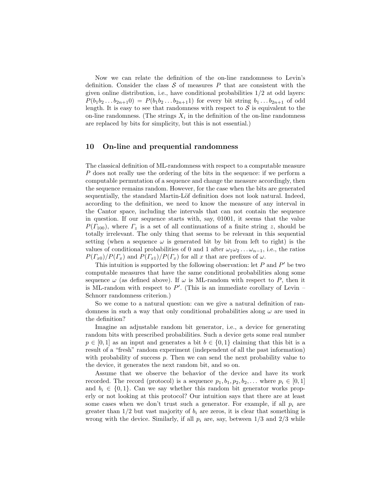Now we can relate the definition of the on-line randomness to Levin's definition. Consider the class  $S$  of measures P that are consistent with the given online distribution, i.e., have conditional probabilities 1/2 at odd layers:  $P(b_1b_2...b_{2n+1}0) = P(b_1b_2...b_{2n+1}1)$  for every bit string  $b_1...b_{2n+1}$  of odd length. It is easy to see that randomness with respect to  $S$  is equivalent to the on-line randomness. (The strings  $X_i$  in the definition of the on-line randomness are replaced by bits for simplicity, but this is not essential.)

# 10 On-line and prequential randomness

The classical definition of ML-randomness with respect to a computable measure P does not really use the ordering of the bits in the sequence: if we perform a computable permutation of a sequence and change the measure accordingly, then the sequence remains random. However, for the case when the bits are generated sequentially, the standard Martin-Löf definition does not look natural. Indeed, according to the definition, we need to know the measure of any interval in the Cantor space, including the intervals that can not contain the sequence in question. If our sequence starts with, say, 01001, it seems that the value  $P(\Gamma_{100})$ , where  $\Gamma_z$  is a set of all continuations of a finite string z, should be totally irrelevant. The only thing that seems to be relevant in this sequential setting (when a sequence  $\omega$  is generated bit by bit from left to right) is the values of conditional probabilities of 0 and 1 after  $\omega_1\omega_2\dots\omega_{n-1}$ , i.e., the ratios  $P(\Gamma_{x0})/P(\Gamma_x)$  and  $P(\Gamma_{x1})/P(\Gamma_x)$  for all x that are prefixes of  $\omega$ .

This intuition is supported by the following observation: let  $P$  and  $P'$  be two computable measures that have the same conditional probabilities along some sequence  $\omega$  (as defined above). If  $\omega$  is ML-random with respect to P, then it is ML-random with respect to  $P'$ . (This is an immediate corollary of Levin – Schnorr randomness criterion.)

So we come to a natural question: can we give a natural definition of randomness in such a way that only conditional probabilities along  $\omega$  are used in the definition?

Imagine an adjustable random bit generator, i.e., a device for generating random bits with prescribed probabilities. Such a device gets some real number  $p \in [0, 1]$  as an input and generates a bit  $b \in \{0, 1\}$  claiming that this bit is a result of a "fresh" random experiment (independent of all the past information) with probability of success  $p$ . Then we can send the next probability value to the device, it generates the next random bit, and so on.

Assume that we observe the behavior of the device and have its work recorded. The record (protocol) is a sequence  $p_1, b_1, p_2, b_2, \ldots$  where  $p_i \in [0, 1]$ and  $b_i \in \{0,1\}$ . Can we say whether this random bit generator works properly or not looking at this protocol? Our intuition says that there are at least some cases when we don't trust such a generator. For example, if all  $p_i$  are greater than  $1/2$  but vast majority of  $b_i$  are zeros, it is clear that something is wrong with the device. Similarly, if all  $p_i$  are, say, between  $1/3$  and  $2/3$  while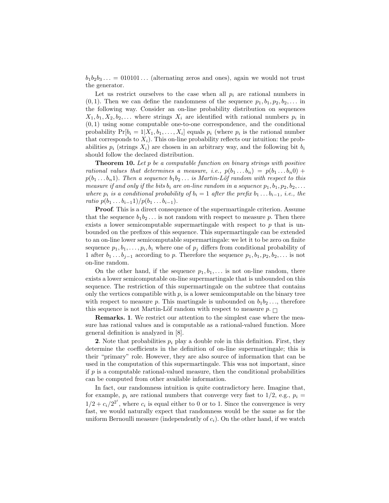$b_1b_2b_3... = 010101...$  (alternating zeros and ones), again we would not trust the generator.

Let us restrict ourselves to the case when all  $p_i$  are rational numbers in  $(0, 1)$ . Then we can define the randomness of the sequence  $p_1, b_1, p_2, b_2, \ldots$  in the following way. Consider an on-line probability distribution on sequences  $X_1, b_1, X_2, b_2, \ldots$  where strings  $X_i$  are identified with rational numbers  $p_i$  in  $(0, 1)$  using some computable one-to-one correspondence, and the conditional probability  $Pr[b_i = 1 | X_1, b_1, \ldots, X_i]$  equals  $p_i$  (where  $p_i$  is the rational number that corresponds to  $X_i$ ). This on-line probability reflects our intuition: the probabilities  $p_i$  (strings  $X_i$ ) are chosen in an arbitrary way, and the following bit  $b_i$ should follow the declared distribution.

Theorem 10. Let p be a computable function on binary strings with positive rational values that determines a measure, i.e.,  $p(b_1 \ldots b_n) = p(b_1 \ldots b_n) + p(b_1 \ldots b_n)$  $p(b_1 \ldots b_n)$ . Then a sequence  $b_1b_2 \ldots$  is Martin-Löf random with respect to this measure if and only if the bits  $b_i$  are on-line random in a sequence  $p_1, b_1, p_2, b_2, \ldots$ where  $p_i$  is a conditional probability of  $b_i = 1$  after the prefix  $b_1 \ldots b_{i-1}$ , i.e., the ratio  $p(b_1 \ldots b_{i-1}1)/p(b_1 \ldots b_{i-1}).$ 

Proof. This is a direct consequence of the supermartingale criterion. Assume that the sequence  $b_1b_2 \ldots$  is not random with respect to measure p. Then there exists a lower semicomputable supermartingale with respect to  $p$  that is unbounded on the prefixes of this sequence. This supermartingale can be extended to an on-line lower semicomputable supermartingale: we let it to be zero on finite sequence  $p_1, b_1, \ldots, p_i, b_i$  where one of  $p_j$  differs from conditional probability of 1 after  $b_1 \tldots b_{j-1}$  according to p. Therefore the sequence  $p_1, b_1, p_2, b_2, \ldots$  is not on-line random.

On the other hand, if the sequence  $p_1, b_1, \ldots$  is not on-line random, there exists a lower semicomputable on-line supermartingale that is unbounded on this sequence. The restriction of this supermartingale on the subtree that contains only the vertices compatible with  $p$ , is a lower semicomputable on the binary tree with respect to measure p. This martingale is unbounded on  $b_1b_2 \ldots$ , therefore this sequence is not Martin-Löf random with respect to measure  $p. \Box$ 

Remarks. 1. We restrict our attention to the simplest case where the measure has rational values and is computable as a rational-valued function. More general definition is analyzed in [8].

2. Note that probabilities  $p_i$  play a double role in this definition. First, they determine the coefficients in the definition of on-line supermartingale; this is their "primary" role. However, they are also source of information that can be used in the computation of this supermartingale. This was not important, since if  $p$  is a computable rational-valued measure, then the conditional probabilities can be computed from other available information.

In fact, our randomness intuition is quite contradictory here. Imagine that, for example,  $p_i$  are rational numbers that converge very fast to 1/2, e.g.,  $p_i =$  $1/2 + c_i/2^{2^i}$ , where  $c_i$  is equal either to 0 or to 1. Since the convergence is very fast, we would naturally expect that randomness would be the same as for the uniform Bernoulli measure (independently of  $c_i$ ). On the other hand, if we watch